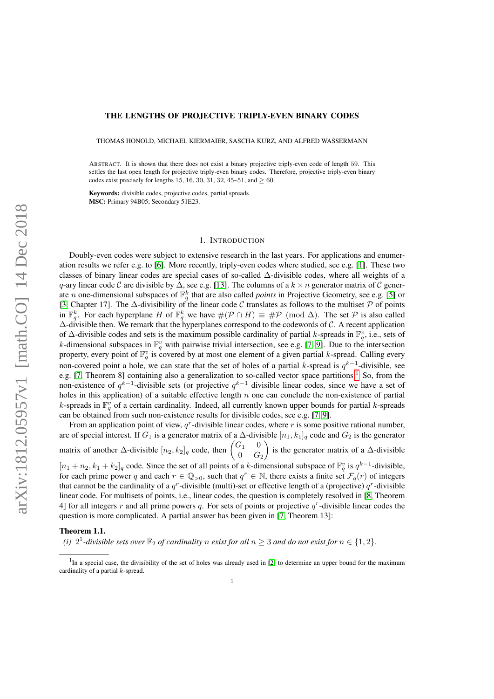## THE LENGTHS OF PROJECTIVE TRIPLY-EVEN BINARY CODES

THOMAS HONOLD, MICHAEL KIERMAIER, SASCHA KURZ, AND ALFRED WASSERMANN

ABSTRACT. It is shown that there does not exist a binary projective triply-even code of length 59. This settles the last open length for projective triply-even binary codes. Therefore, projective triply-even binary codes exist precisely for lengths 15, 16, 30, 31, 32, 45–51, and  $> 60$ .

Keywords: divisible codes, projective codes, partial spreads MSC: Primary 94B05; Secondary 51E23.

## 1. INTRODUCTION

Doubly-even codes were subject to extensive research in the last years. For applications and enumeration results we refer e.g. to [\[6\]](#page-7-0). More recently, triply-even codes where studied, see e.g. [\[1\]](#page-7-1). These two classes of binary linear codes are special cases of so-called ∆-divisible codes, where all weights of a q-ary linear code C are divisible by  $\Delta$ , see e.g. [\[13\]](#page-7-2). The columns of a  $k \times n$  generator matrix of C generate *n* one-dimensional subspaces of  $\mathbb{F}_q^k$  that are also called *points* in Projective Geometry, see e.g. [\[5\]](#page-7-3) or [\[3,](#page-7-4) Chapter 17]. The  $\Delta$ -divisibility of the linear code C translates as follows to the multiset P of points in  $\mathbb{F}_q^k$ . For each hyperplane H of  $\mathbb{F}_q^k$  we have  $\#(\mathcal{P} \cap H) \equiv \# \mathcal{P} \pmod{\Delta}$ . The set  $\mathcal P$  is also called ∆-divisible then. We remark that the hyperplanes correspond to the codewords of C. A recent application of  $\Delta$ -divisible codes and sets is the maximum possible cardinality of partial k-spreads in  $\mathbb{F}_q^v$ , i.e., sets of k-dimensional subspaces in  $\mathbb{F}_q^v$  with pairwise trivial intersection, see e.g. [\[7,](#page-7-5) [9\]](#page-7-6). Due to the intersection property, every point of  $\mathbb{F}_q^v$  is covered by at most one element of a given partial k-spread. Calling every non-covered point a hole, we can state that the set of holes of a partial k-spread is  $q^{k-1}$ -divisible, see e.g. [\[7,](#page-7-5) Theorem 8] containing also a generalization to so-called vector space partitions.<sup>[1](#page-0-0)</sup> So, from the non-existence of  $q^{k-1}$ -divisible sets (or projective  $q^{k-1}$  divisible linear codes, since we have a set of holes in this application) of a suitable effective length  $n$  one can conclude the non-existence of partial k-spreads in  $\mathbb{F}_q^v$  of a certain cardinality. Indeed, all currently known upper bounds for partial k-spreads can be obtained from such non-existence results for divisible codes, see e.g. [\[7,](#page-7-5) [9\]](#page-7-6).

From an application point of view,  $q<sup>r</sup>$ -divisible linear codes, where r is some positive rational number, are of special interest. If  $G_1$  is a generator matrix of a  $\Delta$ -divisible  $[n_1, k_1]_q$  code and  $G_2$  is the generator matrix of another  $\Delta$ -divisible  $[n_2, k_2]_q$  code, then  $\begin{pmatrix} G_1 & 0 \\ 0 & G \end{pmatrix}$  $0$   $G_2$ is the generator matrix of a  $\Delta$ -divisible

 $[n_1 + n_2, k_1 + k_2]_q$  code. Since the set of all points of a k-dimensional subspace of  $\mathbb{F}_q^v$  is  $q^{k-1}$ -divisible, for each prime power q and each  $r \in \mathbb{Q}_{>0}$ , such that  $q^r \in \mathbb{N}$ , there exists a finite set  $\mathcal{F}_q(r)$  of integers that cannot be the cardinality of a  $q^r$ -divisible (multi)-set or effective length of a (projective)  $q^r$ -divisible linear code. For multisets of points, i.e., linear codes, the question is completely resolved in [\[8,](#page-7-7) Theorem 4] for all integers r and all prime powers q. For sets of points or projective  $q<sup>r</sup>$ -divisible linear codes the question is more complicated. A partial answer has been given in [\[7,](#page-7-5) Theorem 13]:

## <span id="page-0-1"></span>Theorem 1.1.

*(i)*  $2^1$ -divisible sets over  $\mathbb{F}_2$  of cardinality n exist for all  $n \geq 3$  and do not exist for  $n \in \{1,2\}$ .

<span id="page-0-0"></span><sup>&</sup>lt;sup>1</sup>In a special case, the divisibility of the set of holes was already used in [\[2\]](#page-7-8) to determine an upper bound for the maximum cardinality of a partial  $k$ -spread.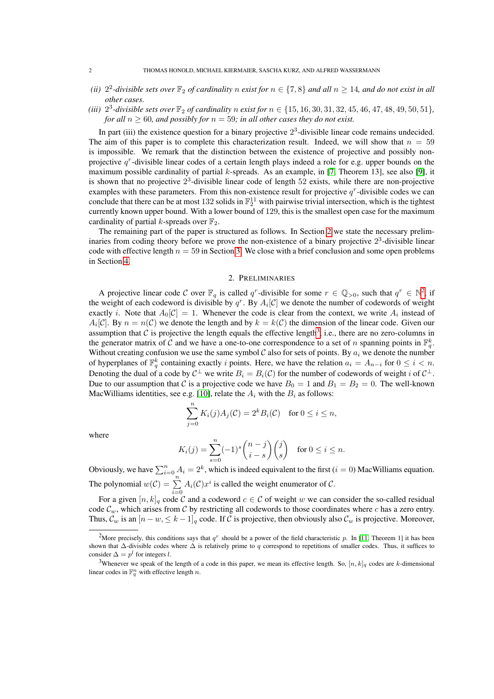- (*ii*)  $2^2$ -divisible sets over  $\mathbb{F}_2$  of cardinality n exist for  $n \in \{7, 8\}$  and all  $n \ge 14$ , and do not exist in all *other cases.*
- (*iii*)  $2^3$ -divisible sets over  $\mathbb{F}_2$  of cardinality n exist for  $n \in \{15, 16, 30, 31, 32, 45, 46, 47, 48, 49, 50, 51\}$ , *for all*  $n \geq 60$ *, and possibly for*  $n = 59$ *; in all other cases they do not exist.*

In part (iii) the existence question for a binary projective  $2<sup>3</sup>$ -divisible linear code remains undecided. The aim of this paper is to complete this characterization result. Indeed, we will show that  $n = 59$ is impossible. We remark that the distinction between the existence of projective and possibly nonprojective  $q^r$ -divisible linear codes of a certain length plays indeed a role for e.g. upper bounds on the maximum possible cardinality of partial k-spreads. As an example, in [\[7,](#page-7-5) Theorem 13], see also [\[9\]](#page-7-6), it is shown that no projective  $2<sup>3</sup>$ -divisible linear code of length 52 exists, while there are non-projective examples with these parameters. From this non-existence result for projective  $q^r$ -divisible codes we can conclude that there can be at most 132 solids in  $\mathbb{F}_2^{11}$  with pairwise trivial intersection, which is the tightest currently known upper bound. With a lower bound of 129, this is the smallest open case for the maximum cardinality of partial k-spreads over  $\mathbb{F}_2$ .

The remaining part of the paper is structured as follows. In Section [2](#page-1-0) we state the necessary preliminaries from coding theory before we prove the non-existence of a binary projective  $2<sup>3</sup>$ -divisible linear code with effective length  $n = 59$  in Section [3.](#page-3-0) We close with a brief conclusion and some open problems in Section [4.](#page-7-9)

## 2. PRELIMINARIES

<span id="page-1-0"></span>A projective linear code C over  $\mathbb{F}_q$  is called q<sup>r</sup>-divisible for some  $r \in \mathbb{Q}_{>0}$ , such that  $q^r \in \mathbb{N}^2$  $q^r \in \mathbb{N}^2$ , if the weight of each codeword is divisible by  $q^r$ . By  $A_i[\mathcal{C}]$  we denote the number of codewords of weight exactly *i*. Note that  $A_0[\mathcal{C}] = 1$ . Whenever the code is clear from the context, we write  $A_i$  instead of  $A_i[\mathcal{C}]$ . By  $n = n(\mathcal{C})$  we denote the length and by  $k = k(\mathcal{C})$  the dimension of the linear code. Given our assumption that  $C$  is projective the length equals the effective length<sup>[3](#page-1-2)</sup>, i.e., there are no zero-columns in the generator matrix of C and we have a one-to-one correspondence to a set of n spanning points in  $\mathbb{F}_q^k$ . Without creating confusion we use the same symbol  $C$  also for sets of points. By  $a_i$  we denote the number of hyperplanes of  $\mathbb{F}_q^k$  containing exactly i points. Here, we have the relation  $a_i = A_{n-i}$  for  $0 \le i < n$ . Denoting the dual of a code by  $C^{\perp}$  we write  $B_i = B_i(C)$  for the number of codewords of weight i of  $C^{\perp}$ . Due to our assumption that C is a projective code we have  $B_0 = 1$  and  $B_1 = B_2 = 0$ . The well-known MacWilliams identities, see e.g. [\[10\]](#page-7-10), relate the  $A_i$  with the  $B_i$  as follows:

$$
\sum_{j=0}^{n} K_i(j)A_j(\mathcal{C}) = 2^k B_i(\mathcal{C}) \quad \text{for } 0 \le i \le n,
$$

where

$$
K_i(j) = \sum_{s=0}^n (-1)^s \binom{n-j}{i-s} \binom{j}{s} \quad \text{for } 0 \le i \le n.
$$

Obviously, we have  $\sum_{i=0}^{n} A_i = 2^k$ , which is indeed equivalent to the first  $(i = 0)$  MacWilliams equation. The polynomial  $w(C) = \sum_{i=0}^{n} A_i(C)x^i$  is called the weight enumerator of C.

For a given  $[n, k]_q$  code C and a codeword  $c \in \mathcal{C}$  of weight w we can consider the so-called residual code  $\mathcal{C}_w$ , which arises from C by restricting all codewords to those coordinates where c has a zero entry. Thus,  $\mathcal{C}_w$  is an  $[n - w, \leq k - 1]_q$  code. If C is projective, then obviously also  $\mathcal{C}_w$  is projective. Moreover,

<span id="page-1-1"></span><sup>&</sup>lt;sup>2</sup>More precisely, this conditions says that  $q^r$  should be a power of the field characteristic p. In [\[11,](#page-7-11) Theorem 1] it has been shown that  $\Delta$ -divisible codes where  $\Delta$  is relatively prime to q correspond to repetitions of smaller codes. Thus, it suffices to consider  $\Delta = p^l$  for integers l.

<span id="page-1-2"></span><sup>&</sup>lt;sup>3</sup>Whenever we speak of the length of a code in this paper, we mean its effective length. So,  $[n, k]_q$  codes are k-dimensional linear codes in  $\mathbb{F}_q^n$  with effective length n.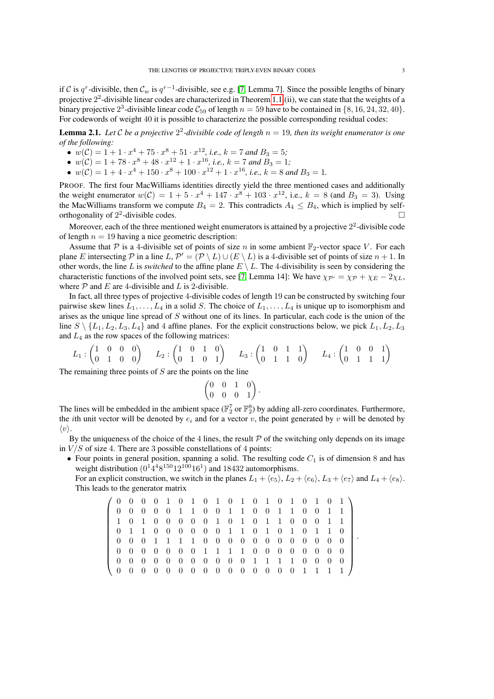if C is  $q^r$ -divisible, then  $C_w$  is  $q^{r-1}$ -divisible, see e.g. [\[7,](#page-7-5) Lemma 7]. Since the possible lengths of binary projective  $2^2$ -divisible linear codes are characterized in Theorem [1.1.](#page-0-1)(ii), we can state that the weights of a binary projective  $2^3$ -divisible linear code  $C_{59}$  of length  $n = 59$  have to be contained in  $\{8, 16, 24, 32, 40\}$ . For codewords of weight 40 it is possible to characterize the possible corresponding residual codes:

<span id="page-2-0"></span>**Lemma 2.1.** Let C be a projective  $2^2$ -divisible code of length  $n = 19$ , then its weight enumerator is one *of the following:*

- $w(C) = 1 + 1 \cdot x^4 + 75 \cdot x^8 + 51 \cdot x^{12}$ , *i.e.*,  $k = 7$  and  $B_3 = 5$ ;
- $w(C) = 1 + 78 \cdot x^8 + 48 \cdot x^{12} + 1 \cdot x^{16}$ , *i.e.*,  $k = 7$  and  $B_3 = 1$ ;
- $w(C) = 1 + 4 \cdot x^4 + 150 \cdot x^8 + 100 \cdot x^{12} + 1 \cdot x^{16}$ , *i.e.*,  $k = 8$  and  $B_3 = 1$ .

PROOF. The first four MacWilliams identities directly yield the three mentioned cases and additionally the weight enumerator  $w(C) = 1 + 5 \cdot x^4 + 147 \cdot x^8 + 103 \cdot x^{12}$ , i.e.,  $k = 8$  (and  $B_3 = 3$ ). Using the MacWilliams transform we compute  $B_4 = 2$ . This contradicts  $A_4 \leq B_4$ , which is implied by selforthogonality of  $2^2$ -divisible codes.

Moreover, each of the three mentioned weight enumerators is attained by a projective  $2^2$ -divisible code of length  $n = 19$  having a nice geometric description:

Assume that P is a 4-divisible set of points of size n in some ambient  $\mathbb{F}_2$ -vector space V. For each plane E intersecting P in a line L,  $\mathcal{P}' = (\mathcal{P} \setminus L) \cup (E \setminus L)$  is a 4-divisible set of points of size  $n + 1$ . In other words, the line L is *switched* to the affine plane  $E \setminus L$ . The 4-divisibility is seen by considering the characteristic functions of the involved point sets, see [\[7,](#page-7-5) Lemma 14]: We have  $\chi_{\mathcal{P}'} = \chi_{\mathcal{P}} + \chi_E - 2\chi_L$ , where  $P$  and  $E$  are 4-divisible and  $L$  is 2-divisible.

In fact, all three types of projective 4-divisible codes of length 19 can be constructed by switching four pairwise skew lines  $L_1, \ldots, L_4$  in a solid S. The choice of  $L_1, \ldots, L_4$  is unique up to isomorphism and arises as the unique line spread of S without one of its lines. In particular, each code is the union of the line  $S \setminus \{L_1, L_2, L_3, L_4\}$  and 4 affine planes. For the explicit constructions below, we pick  $L_1, L_2, L_3$ and  $L_4$  as the row spaces of the following matrices:

$$
L_1:\begin{pmatrix} 1 & 0 & 0 & 0 \\ 0 & 1 & 0 & 0 \end{pmatrix} \qquad L_2:\begin{pmatrix} 1 & 0 & 1 & 0 \\ 0 & 1 & 0 & 1 \end{pmatrix} \qquad L_3:\begin{pmatrix} 1 & 0 & 1 & 1 \\ 0 & 1 & 1 & 0 \end{pmatrix} \qquad L_4:\begin{pmatrix} 1 & 0 & 0 & 1 \\ 0 & 1 & 1 & 1 \end{pmatrix}
$$

The remaining three points of  $S$  are the points on the line

$$
\begin{pmatrix} 0 & 0 & 1 & 0 \\ 0 & 0 & 0 & 1 \end{pmatrix}.
$$

The lines will be embedded in the ambient space ( $\mathbb{F}_2^7$  or  $\mathbb{F}_2^8$ ) by adding all-zero coordinates. Furthermore, the *i*th unit vector will be denoted by  $e_i$  and for a vector v, the point generated by v will be denoted by  $\langle v \rangle$ .

By the uniqueness of the choice of the 4 lines, the result  $\mathcal P$  of the switching only depends on its image in  $V/S$  of size 4. There are 3 possible constellations of 4 points:

• Four points in general position, spanning a solid. The resulting code  $C_1$  is of dimension 8 and has weight distribution  $(0^14^48^{150}12^{100}16^1)$  and 18432 automorphisms.

For an explicit construction, we switch in the planes  $L_1 + \langle e_5 \rangle$ ,  $L_2 + \langle e_6 \rangle$ ,  $L_3 + \langle e_7 \rangle$  and  $L_4 + \langle e_8 \rangle$ . This leads to the generator matrix

| 10000101010101010101                    |  |  |  |  |  |                                     |  |  |  |  |
|-----------------------------------------|--|--|--|--|--|-------------------------------------|--|--|--|--|
| 100000110011000110011                   |  |  |  |  |  |                                     |  |  |  |  |
| 1 1 0 1 0 0 0 0 0 1 0 1 0 1 1 0 0 0 1 1 |  |  |  |  |  |                                     |  |  |  |  |
| 10110000001101010110                    |  |  |  |  |  |                                     |  |  |  |  |
| 0 0 0 1 1 1 0 0 0 0 0 0 0 0 0 0 0 0     |  |  |  |  |  |                                     |  |  |  |  |
| 10000000111100000000                    |  |  |  |  |  |                                     |  |  |  |  |
| 0 0 0 0 0 0 0 0 0 0 0 1 1 1 0 0 0 0     |  |  |  |  |  |                                     |  |  |  |  |
|                                         |  |  |  |  |  | 0 0 0 0 0 0 0 0 0 0 0 0 0 0 1 1 1 1 |  |  |  |  |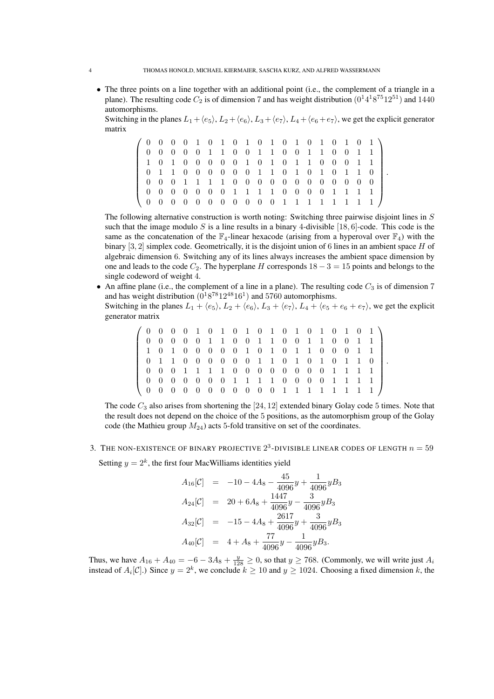• The three points on a line together with an additional point (i.e., the complement of a triangle in a plane). The resulting code  $C_2$  is of dimension 7 and has weight distribution  $(0^14^18^{75}12^{51})$  and 1440 automorphisms.

Switching in the planes  $L_1 + \langle e_5 \rangle$ ,  $L_2 + \langle e_6 \rangle$ ,  $L_3 + \langle e_7 \rangle$ ,  $L_4 + \langle e_6 + e_7 \rangle$ , we get the explicit generator matrix

.

.

|                                         |  |  |  |  |  |  |  |  | $(0\ 0\ 0\ 0\ 1\ 0\ 1\ 0\ 1\ 0\ 1\ 0\ 1\ 0\ 1\ 0\ 1\ 0\ 1)$ |
|-----------------------------------------|--|--|--|--|--|--|--|--|-------------------------------------------------------------|
| 0 0 0 0 0 1 1 0 0 1 1 0 0 1 1 0 0 1 1   |  |  |  |  |  |  |  |  |                                                             |
| 1 0 1 0 0 0 0 0 1 0 1 0 1 1 0 0 0 1 1   |  |  |  |  |  |  |  |  |                                                             |
| 0 1 1 0 0 0 0 0 0 1 1 0 1 0 1 0 1 1 0   |  |  |  |  |  |  |  |  |                                                             |
| 0 0 0 1 1 1 1 0 0 0 0 0 0 0 0 0 0 0 0   |  |  |  |  |  |  |  |  |                                                             |
|                                         |  |  |  |  |  |  |  |  |                                                             |
| \ 0 0 0 0 0 0 0 0 0 0 0 1 1 1 1 1 1 1 1 |  |  |  |  |  |  |  |  |                                                             |

The following alternative construction is worth noting: Switching three pairwise disjoint lines in S such that the image modulo S is a line results in a binary 4-divisible  $[18, 6]$ -code. This code is the same as the concatenation of the  $\mathbb{F}_4$ -linear hexacode (arising from a hyperoval over  $\mathbb{F}_4$ ) with the binary  $[3, 2]$  simplex code. Geometrically, it is the disjoint union of 6 lines in an ambient space H of algebraic dimension 6. Switching any of its lines always increases the ambient space dimension by one and leads to the code  $C_2$ . The hyperplane H corresponds  $18 - 3 = 15$  points and belongs to the single codeword of weight 4.

• An affine plane (i.e., the complement of a line in a plane). The resulting code  $C_3$  is of dimension 7 and has weight distribution  $(0<sup>1</sup>8<sup>78</sup>12<sup>48</sup>16<sup>1</sup>)$  and 5760 automorphisms. Switching in the planes  $L_1 + \langle e_5 \rangle$ ,  $L_2 + \langle e_6 \rangle$ ,  $L_3 + \langle e_7 \rangle$ ,  $L_4 + \langle e_5 + e_6 + e_7 \rangle$ , we get the explicit

generator matrix

| / 0 0 0 0 1 0 1 0 1 0 1 0 1 0 1 0 1 0 1 |  |  |  |  |  |  |  |  |  |  |
|-----------------------------------------|--|--|--|--|--|--|--|--|--|--|
| 100000110011000110011                   |  |  |  |  |  |  |  |  |  |  |
| 1 1 0 1 0 0 0 0 0 1 0 1 0 1 1 0 0 0 1 1 |  |  |  |  |  |  |  |  |  |  |
| 0 1 1 0 0 0 0 0 0 1 1 0 1 0 1 0 1 1 0   |  |  |  |  |  |  |  |  |  |  |
| 0 0 0 1 1 1 1 0 0 0 0 0 0 0 0 1 1 1 1   |  |  |  |  |  |  |  |  |  |  |
| 0 0 0 0 0 0 0 1 1 1 0 0 0 0 1 1 1 1     |  |  |  |  |  |  |  |  |  |  |
| \ 0 0 0 0 0 0 0 0 0 0 0 1 1 1 1 1 1 1 1 |  |  |  |  |  |  |  |  |  |  |

The code  $C_3$  also arises from shortening the  $[24, 12]$  extended binary Golay code 5 times. Note that the result does not depend on the choice of the 5 positions, as the automorphism group of the Golay code (the Mathieu group  $M_{24}$ ) acts 5-fold transitive on set of the coordinates.

<span id="page-3-0"></span>3. THE NON-EXISTENCE OF BINARY PROJECTIVE  $2^3$ -divisible linear codes of length  $n=59$ 

Setting  $y = 2<sup>k</sup>$ , the first four MacWilliams identities yield

$$
A_{16}[C] = -10 - 4A_8 - \frac{45}{4096}y + \frac{1}{4096}yB_3
$$
  
\n
$$
A_{24}[C] = 20 + 6A_8 + \frac{1447}{4096}y - \frac{3}{4096}yB_3
$$
  
\n
$$
A_{32}[C] = -15 - 4A_8 + \frac{2617}{4096}y + \frac{3}{4096}yB_3
$$
  
\n
$$
A_{40}[C] = 4 + A_8 + \frac{77}{4096}y - \frac{1}{4096}yB_3.
$$

Thus, we have  $A_{16} + A_{40} = -6 - 3A_8 + \frac{y}{128} \ge 0$ , so that  $y \ge 768$ . (Commonly, we will write just  $A_i$ instead of  $A_i[\mathcal{C}]$ .) Since  $y = 2^k$ , we conclude  $k \ge 10$  and  $y \ge 1024$ . Choosing a fixed dimension k, the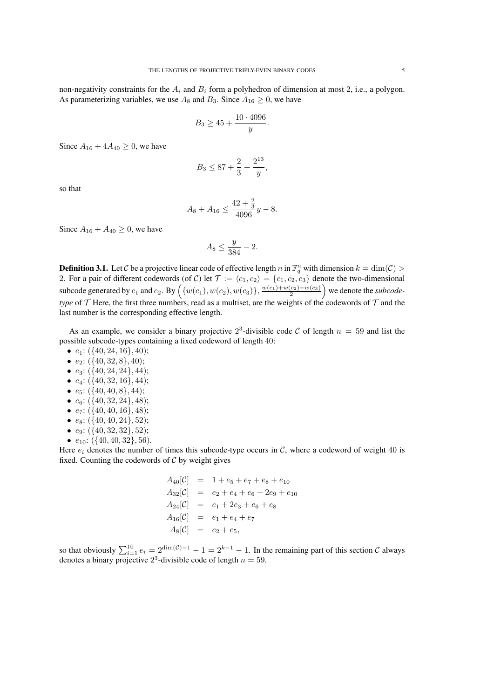$$
B_3 \ge 45 + \frac{10 \cdot 4096}{y}
$$

.

Since  $A_{16} + 4A_{40} > 0$ , we have

$$
B_3 \leq 87 + \frac{2}{3} + \frac{2^{13}}{y},
$$

so that

$$
A_8 + A_{16} \le \frac{42 + \frac{2}{3}}{4096}y - 8.
$$

Since  $A_{16} + A_{40} \ge 0$ , we have

$$
A_8 \le \frac{y}{384} - 2.
$$

**Definition 3.1.** Let C be a projective linear code of effective length n in  $\mathbb{F}_q^n$  with dimension  $k = \dim(\mathcal{C}) >$ 2. For a pair of different codewords (of C) let  $\mathcal{T} := \langle c_1, c_2 \rangle = \{c_1, c_2, c_3\}$  denote the two-dimensional subcode generated by  $c_1$  and  $c_2$ . By  $(\{w(c_1), w(c_2), w(c_3)\}, \frac{w(c_1) + w(c_2) + w(c_3)}{2})$  we denote the *subcodetype* of  $T$  Here, the first three numbers, read as a multiset, are the weights of the codewords of  $T$  and the last number is the corresponding effective length.

As an example, we consider a binary projective  $2^3$ -divisible code C of length  $n = 59$  and list the possible subcode-types containing a fixed codeword of length 40:

- $e_1$ : ({40, 24, 16}, 40);
- $e_2$ : ({40, 32, 8}, 40);
- $e_3$ :  $({40, 24, 24}, 44)$ ;
- $e_4$ :  $({6, 32, 16}, 44)$ ;
- $e_5$ :  $({640, 40, 8}, 44)$ ;
- $e_6$ :  $({40, 32, 24}, 48)$ ;
- $e_7$ :  $({40, 40, 16}, 48)$ ;
- $e_8$ :  $({6, 40, 40, 24}, 52)$ ;
- $e_9$ :  $({40, 32, 32}, 52)$ ;
- $e_{10}$ : ({40, 40, 32}, 56).

Here  $e_i$  denotes the number of times this subcode-type occurs in C, where a codeword of weight 40 is fixed. Counting the codewords of  $C$  by weight gives

$$
A_{40}[C] = 1 + e_5 + e_7 + e_8 + e_{10}
$$
  
\n
$$
A_{32}[C] = e_2 + e_4 + e_6 + 2e_9 + e_{10}
$$
  
\n
$$
A_{24}[C] = e_1 + 2e_3 + e_6 + e_8
$$
  
\n
$$
A_{16}[C] = e_1 + e_4 + e_7
$$
  
\n
$$
A_8[C] = e_2 + e_5,
$$

so that obviously  $\sum_{i=1}^{10} e_i = 2^{\dim(\mathcal{C})-1} - 1 = 2^{k-1} - 1$ . In the remaining part of this section C always denotes a binary projective  $2^3$ -divisible code of length  $n = 59$ .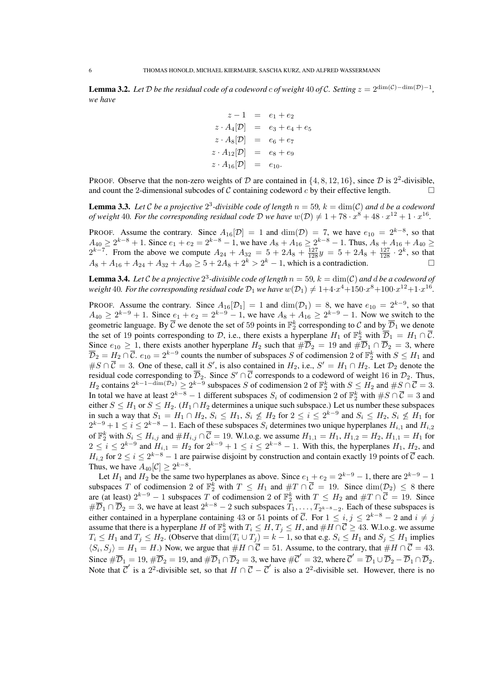**Lemma 3.2.** Let D be the residual code of a codeword c of weight 40 of C. Setting  $z = 2^{\dim(\mathcal{C}) - \dim(\mathcal{D}) - 1}$ , *we have*

$$
z - 1 = e_1 + e_2
$$
  
\n
$$
z \cdot A_4[\mathcal{D}] = e_3 + e_4 + e_5
$$
  
\n
$$
z \cdot A_8[\mathcal{D}] = e_6 + e_7
$$
  
\n
$$
z \cdot A_{12}[\mathcal{D}] = e_8 + e_9
$$
  
\n
$$
z \cdot A_{16}[\mathcal{D}] = e_{10}.
$$

PROOF. Observe that the non-zero weights of D are contained in  $\{4, 8, 12, 16\}$ , since D is  $2^2$ -divisible, and count the 2-dimensional subcodes of C containing codeword c by their effective length.  $\Box$ 

<span id="page-5-1"></span>**Lemma 3.3.** Let C be a projective  $2^3$ -divisible code of length  $n = 59$ ,  $k = \dim(\mathcal{C})$  and d be a codeword *of weight* 40. For the corresponding residual code  $D$  we have  $w(D) \neq 1 + 78 \cdot x^8 + 48 \cdot x^{12} + 1 \cdot x^{16}$ .

PROOF. Assume the contrary. Since  $A_{16}[\mathcal{D}] = 1$  and  $\dim(\mathcal{D}) = 7$ , we have  $e_{10} = 2^{k-8}$ , so that  $A_{40} \ge 2^{k-8} + 1$ . Since  $e_1 + e_2 = 2^{k-8} - 1$ , we have  $A_8 + A_{16} \ge 2^{k-8} - 1$ . Thus,  $A_8 + A_{16} + A_{40} \ge$  $2^{k-7}$ . From the above we compute  $A_{24} + A_{32} = 5 + 2A_8 + \frac{127}{128}y = 5 + 2A_8 + \frac{127}{128} \cdot 2^k$ , so that  $A_8 + A_{16} + A_{24} + A_{32} + A_{40} \ge 5 + 2A_8 + 2^k > 2^k - 1$ , which is a contradiction.

<span id="page-5-0"></span>**Lemma 3.4.** Let C be a projective  $2^3$ -divisible code of length  $n = 59$ ,  $k = \dim(\mathcal{C})$  and d be a codeword of weight  $40$ . For the corresponding residual code  $\mathcal{D}_1$  we have  $w(\mathcal{D}_1)\neq 1+4\cdot x^4+150\cdot x^8+100\cdot x^{12}+1\cdot x^{16}.$ 

PROOF. Assume the contrary. Since  $A_{16}[\mathcal{D}_1] = 1$  and  $\dim(\mathcal{D}_1) = 8$ , we have  $e_{10} = 2^{k-9}$ , so that  $A_{40} \ge 2^{k-9} + 1$ . Since  $e_1 + e_2 = 2^{k-9} - 1$ , we have  $A_8 + A_{16} \ge 2^{k-9} - 1$ . Now we switch to the geometric language. By  $\overline{C}$  we denote the set of 59 points in  $\mathbb{F}_2^k$  corresponding to  $C$  and by  $\overline{\mathcal{D}}_1$  we denote the set of 19 points corresponding to D, i.e., there exists a hyperplane  $H_1$  of  $\mathbb{F}_2^k$  with  $\overline{\mathcal{D}}_1 = H_1 \cap \overline{\mathcal{C}}$ . Since  $e_{10} \ge 1$ , there exists another hyperplane  $H_2$  such that  $\#\overline{\mathcal{D}}_2 = 19$  and  $\#\overline{\mathcal{D}}_1 \cap \overline{\mathcal{D}}_2 = 3$ , where  $\overline{\mathcal{D}}_2 = H_2 \cap \overline{\mathcal{C}}$ .  $e_{10} = 2^{k-9}$  counts the number of subspaces S of codimension 2 of  $\mathbb{F}_2^k$  with  $S \le H_1$  and  $\#S \cap \overline{C} = 3$ . One of these, call it S', is also contained in  $H_2$ , i.e.,  $S' = H_1 \cap H_2$ . Let  $\mathcal{D}_2$  denote the residual code corresponding to  $\overline{\mathcal{D}}_2$ . Since  $S'\cap\overline{\mathcal{C}}$  corresponds to a codeword of weight 16 in  $\mathcal{D}_2$ . Thus,  $H_2$  contains  $2^{k-1-\dim(\mathcal{D}_2)} \geq 2^{k-9}$  subspaces S of codimension 2 of  $\mathbb{F}_2^k$  with  $S \leq H_2$  and  $\#S \cap \overline{C} = 3$ . In total we have at least  $2^{k-8} - 1$  different subspaces  $S_i$  of codimension 2 of  $\mathbb{F}_2^k$  with  $\#S \cap \overline{C} = 3$  and either  $S \leq H_1$  or  $S \leq H_2$ . ( $H_1 \cap H_2$  determines a unique such subspace.) Let us number these subspaces in such a way that  $S_1 = H_1 \cap H_2$ ,  $S_i \leq H_1$ ,  $S_i \nleq H_2$  for  $2 \leq i \leq 2^{k-9}$  and  $S_i \leq H_2$ ,  $S_i \nleq H_1$  for  $2^{k-9}+1 \leq i \leq 2^{k-8}-1$ . Each of these subspaces  $S_i$  determines two unique hyperplanes  $H_{i,1}$  and  $H_{i,2}$ of  $\mathbb{F}_2^k$  with  $S_i \le H_{i,j}$  and  $\#H_{i,j} \cap \overline{C} = 19$ . W.l.o.g. we assume  $H_{1,1} = H_1, H_{1,2} = H_2, H_{1,1} = H_1$  for  $2 \le i \le 2^{k-9}$  and  $H_{i,1} = H_2$  for  $2^{k-9} + 1 \le i \le 2^{k-8} - 1$ . With this, the hyperplanes  $H_1, H_2$ , and  $H_{i,2}$  for  $2 \le i \le 2^{k-8} - 1$  are pairwise disjoint by construction and contain exactly 19 points of  $\overline{C}$  each. Thus, we have  $A_{40}[\mathcal{C}] \geq 2^{k-8}$ .

Let  $H_1$  and  $H_2$  be the same two hyperplanes as above. Since  $e_1 + e_2 = 2^{k-9} - 1$ , there are  $2^{k-9} - 1$ subspaces T of codimension 2 of  $\mathbb{F}_2^k$  with  $T \leq H_1$  and  $\#T \cap \overline{C} = 19$ . Since  $\dim(\mathcal{D}_2) \leq 8$  there are (at least)  $2^{k-9} - 1$  subspaces T of codimension 2 of  $\mathbb{F}_2^k$  with  $T \leq H_2$  and  $\#T \cap \overline{C} = 19$ . Since  $\#\overline{\mathcal{D}}_1 \cap \overline{\mathcal{D}}_2 = 3$ , we have at least  $2^{k-8} - 2$  such subspaces  $T_1, \ldots, T_{2^{k-8}-2}$ . Each of these subspaces is either contained in a hyperplane containing 43 or 51 points of  $\overline{C}$ . For  $1 \le i, j \le 2^{k-8} - 2$  and  $i \ne j$ assume that there is a hyperplane H of  $\mathbb{F}_2^k$  with  $T_i \leq H$ ,  $T_j \leq H$ , and  $\#H \cap \overline{C} \geq 43$ . W.l.o.g. we assume  $T_i \leq H_1$  and  $T_j \leq H_2$ . (Observe that  $\dim(T_i \cup T_j) = k - 1$ , so that e.g.  $S_i \leq H_1$  and  $S_j \leq H_1$  implies  $\langle S_i, S_j \rangle = H_1 = H$ .) Now, we argue that  $#H \cap C = 51$ . Assume, to the contrary, that  $#H \cap C = 43$ . Since  $\#\overline{\mathcal{D}}_1 = 19$ ,  $\#\overline{\mathcal{D}}_2 = 19$ , and  $\#\overline{\mathcal{D}}_1 \cap \overline{\mathcal{D}}_2 = 3$ , we have  $\#\overline{\mathcal{C}}' = 32$ , where  $\overline{\mathcal{C}}' = \overline{\mathcal{D}}_1 \cup \overline{\mathcal{D}}_2 - \overline{\mathcal{D}}_1 \cap \overline{\mathcal{D}}_2$ . Note that  $\overline{C}'$  is a 2<sup>2</sup>-divisible set, so that  $H \cap \overline{C} - \overline{C}'$  is also a 2<sup>2</sup>-divisible set. However, there is no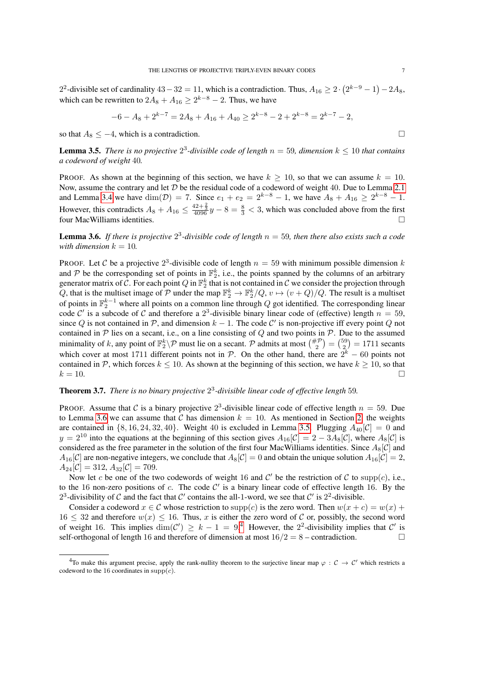2<sup>2</sup>-divisible set of cardinality  $43-32=11$ , which is a contradiction. Thus,  $A_{16} \ge 2 \cdot (2^{k-9}-1) - 2A_8$ , which can be rewritten to  $2A_8 + A_{16} \ge 2^{k-8} - 2$ . Thus, we have

$$
-6 - A_8 + 2^{k-7} = 2A_8 + A_{16} + A_{40} \ge 2^{k-8} - 2 + 2^{k-8} = 2^{k-7} - 2,
$$

so that  $A_8 \leq -4$ , which is a contradiction.

<span id="page-6-1"></span>**Lemma 3.5.** There is no projective  $2^3$ -divisible code of length  $n = 59$ , dimension  $k \leq 10$  that contains *a codeword of weight* 40*.*

PROOF. As shown at the beginning of this section, we have  $k \ge 10$ , so that we can assume  $k = 10$ . Now, assume the contrary and let  $D$  be the residual code of a codeword of weight 40. Due to Lemma [2.1](#page-2-0) and Lemma [3.4](#page-5-0) we have  $\dim(\mathcal{D}) = 7$ . Since  $e_1 + e_2 = 2^{k-8} - 1$ , we have  $A_8 + A_{16} \geq 2^{k-8} - 1$ . However, this contradicts  $A_8 + A_{16} \le \frac{42 + \frac{2}{3}}{4096}y - 8 = \frac{8}{3} < 3$ , which was concluded above from the first four MacWilliams identities.

<span id="page-6-0"></span>**Lemma 3.6.** If there is projective  $2^3$ -divisible code of length  $n = 59$ , then there also exists such a code *with dimension*  $k = 10$ .

PROOF. Let C be a projective  $2^3$ -divisible code of length  $n = 59$  with minimum possible dimension k and P be the corresponding set of points in  $\mathbb{F}_2^k$ , i.e., the points spanned by the columns of an arbitrary generator matrix of  $C$ . For each point  $Q$  in  $\mathbb{F}_2^k$  that is not contained in  $C$  we consider the projection through Q, that is the multiset image of P under the map  $\mathbb{F}_2^k \to \mathbb{F}_2^k/Q$ ,  $v \mapsto (v+Q)/Q$ . The result is a multiset of points in  $\mathbb{F}_2^{k-1}$  where all points on a common line through Q got identified. The corresponding linear code C' is a subcode of C and therefore a  $2<sup>3</sup>$ -divisible binary linear code of (effective) length  $n = 59$ , since Q is not contained in  $\mathcal{P}$ , and dimension  $k - 1$ . The code C' is non-projective iff every point Q not contained in  $P$  lies on a secant, i.e., on a line consisting of  $Q$  and two points in  $P$ . Due to the assumed minimality of k, any point of  $\mathbb{F}_2^k \setminus \mathcal{P}$  must lie on a secant.  $\mathcal{P}$  admits at most  $\binom{\# \mathcal{P}}{2} = \binom{59}{2} = 1711$  secants which cover at most 1711 different points not in  $P$ . On the other hand, there are  $2^k - 60$  points not contained in P, which forces  $k \le 10$ . As shown at the beginning of this section, we have  $k \ge 10$ , so that  $k = 10$ .

# <span id="page-6-3"></span>Theorem 3.7. *There is no binary projective* 2 3 *-divisible linear code of effective length* 59*.*

PROOF. Assume that C is a binary projective  $2<sup>3</sup>$ -divisible linear code of effective length  $n = 59$ . Due to Lemma [3.6](#page-6-0) we can assume that C has dimension  $k = 10$ . As mentioned in Section [2,](#page-1-0) the weights are contained in  $\{8, 16, 24, 32, 40\}$ . Weight 40 is excluded in Lemma [3.5.](#page-6-1) Plugging  $A_{40}[\mathcal{C}] = 0$  and  $y = 2^{10}$  into the equations at the beginning of this section gives  $A_{16}[\mathcal{C}] = 2 - 3A_8[\mathcal{C}]$ , where  $A_8[\mathcal{C}]$  is considered as the free parameter in the solution of the first four MacWilliams identities. Since  $A_8[\mathcal{C}]$  and  $A_{16}[\mathcal{C}]$  are non-negative integers, we conclude that  $A_8[\mathcal{C}] = 0$  and obtain the unique solution  $A_{16}[\mathcal{C}] = 2$ ,  $A_{24}[\mathcal{C}] = 312, A_{32}[\mathcal{C}] = 709.$ 

Now let c be one of the two codewords of weight 16 and  $\mathcal{C}'$  be the restriction of  $\mathcal C$  to supp(c), i.e., to the 16 non-zero positions of c. The code  $C'$  is a binary linear code of effective length 16. By the 2<sup>3</sup>-divisibility of C and the fact that C' contains the all-1-word, we see that C' is 2<sup>2</sup>-divisible.

Consider a codeword  $x \in \mathcal{C}$  whose restriction to  $supp(c)$  is the zero word. Then  $w(x + c) = w(x) + c$  $16 \leq 32$  and therefore  $w(x) \leq 16$ . Thus, x is either the zero word of C or, possibly, the second word of weight 16. This implies  $\dim(\mathcal{C}') \geq k-1 = 9$ .<sup>[4](#page-6-2)</sup> However, the 2<sup>2</sup>-divisibility implies that  $\mathcal{C}'$  is self-orthogonal of length 16 and therefore of dimension at most  $16/2 = 8$  – contradiction.

<span id="page-6-2"></span><sup>&</sup>lt;sup>4</sup>To make this argument precise, apply the rank-nullity theorem to the surjective linear map  $\varphi : C \to C'$  which restricts a codeword to the 16 coordinates in  $supp(c)$ .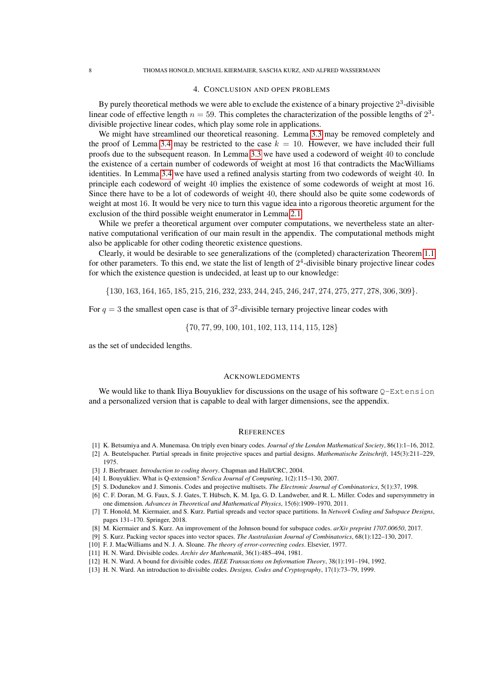## 4. CONCLUSION AND OPEN PROBLEMS

<span id="page-7-9"></span>By purely theoretical methods we were able to exclude the existence of a binary projective  $2<sup>3</sup>$ -divisible linear code of effective length  $n = 59$ . This completes the characterization of the possible lengths of  $2^3$ divisible projective linear codes, which play some role in applications.

We might have streamlined our theoretical reasoning. Lemma [3.3](#page-5-1) may be removed completely and the proof of Lemma [3.4](#page-5-0) may be restricted to the case  $k = 10$ . However, we have included their full proofs due to the subsequent reason. In Lemma [3.3](#page-5-1) we have used a codeword of weight 40 to conclude the existence of a certain number of codewords of weight at most 16 that contradicts the MacWilliams identities. In Lemma [3.4](#page-5-0) we have used a refined analysis starting from two codewords of weight 40. In principle each codeword of weight 40 implies the existence of some codewords of weight at most 16. Since there have to be a lot of codewords of weight 40, there should also be quite some codewords of weight at most 16. It would be very nice to turn this vague idea into a rigorous theoretic argument for the exclusion of the third possible weight enumerator in Lemma [2.1.](#page-2-0)

While we prefer a theoretical argument over computer computations, we nevertheless state an alternative computational verification of our main result in the appendix. The computational methods might also be applicable for other coding theoretic existence questions.

Clearly, it would be desirable to see generalizations of the (completed) characterization Theorem [1.1](#page-0-1) for other parameters. To this end, we state the list of length of  $2<sup>4</sup>$ -divisible binary projective linear codes for which the existence question is undecided, at least up to our knowledge:

{130, 163, 164, 165, 185, 215, 216, 232, 233, 244, 245, 246, 247, 274, 275, 277, 278, 306, 309}.

For  $q = 3$  the smallest open case is that of  $3^2$ -divisible ternary projective linear codes with

{70, 77, 99, 100, 101, 102, 113, 114, 115, 128}

as the set of undecided lengths.

### **ACKNOWLEDGMENTS**

We would like to thank Iliya Bouyukliev for discussions on the usage of his software  $O-Extension$ and a personalized version that is capable to deal with larger dimensions, see the appendix.

#### **REFERENCES**

- <span id="page-7-1"></span>[1] K. Betsumiya and A. Munemasa. On triply even binary codes. *Journal of the London Mathematical Society*, 86(1):1–16, 2012.
- <span id="page-7-8"></span>[2] A. Beutelspacher. Partial spreads in finite projective spaces and partial designs. *Mathematische Zeitschrift*, 145(3):211–229, 1975.
- <span id="page-7-4"></span>[3] J. Bierbrauer. *Introduction to coding theory*. Chapman and Hall/CRC, 2004.
- <span id="page-7-12"></span>[4] I. Bouyukliev. What is Q-extension? *Serdica Journal of Computing*, 1(2):115–130, 2007.
- <span id="page-7-3"></span>[5] S. Dodunekov and J. Simonis. Codes and projective multisets. *The Electronic Journal of Combinatorics*, 5(1):37, 1998.
- <span id="page-7-0"></span>[6] C. F. Doran, M. G. Faux, S. J. Gates, T. Hübsch, K. M. Iga, G. D. Landweber, and R. L. Miller. Codes and supersymmetry in one dimension. *Advances in Theoretical and Mathematical Physics*, 15(6):1909–1970, 2011.
- <span id="page-7-5"></span>[7] T. Honold, M. Kiermaier, and S. Kurz. Partial spreads and vector space partitions. In *Network Coding and Subspace Designs*, pages 131–170. Springer, 2018.
- <span id="page-7-7"></span>[8] M. Kiermaier and S. Kurz. An improvement of the Johnson bound for subspace codes. *arXiv preprint 1707.00650*, 2017.
- <span id="page-7-6"></span>[9] S. Kurz. Packing vector spaces into vector spaces. *The Australasian Journal of Combinatorics*, 68(1):122–130, 2017.
- <span id="page-7-10"></span>[10] F. J. MacWilliams and N. J. A. Sloane. *The theory of error-correcting codes*. Elsevier, 1977.
- <span id="page-7-11"></span>[11] H. N. Ward. Divisible codes. *Archiv der Mathematik*, 36(1):485–494, 1981.
- <span id="page-7-13"></span>[12] H. N. Ward. A bound for divisible codes. *IEEE Transactions on Information Theory*, 38(1):191–194, 1992.
- <span id="page-7-2"></span>[13] H. N. Ward. An introduction to divisible codes. *Designs, Codes and Cryptography*, 17(1):73–79, 1999.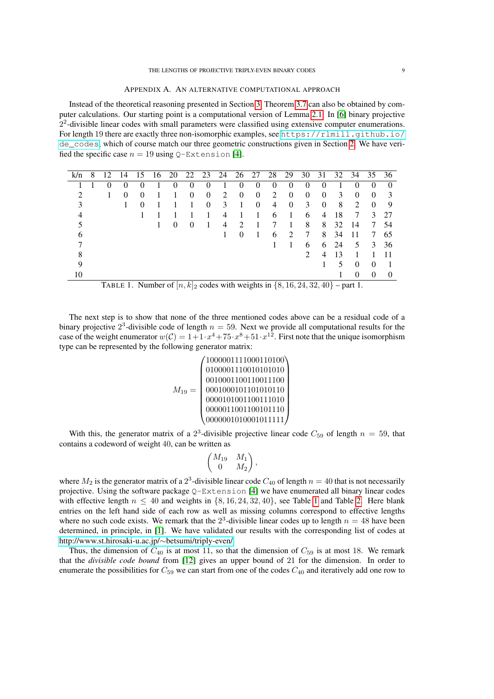Instead of the theoretical reasoning presented in Section [3,](#page-3-0) Theorem [3.7](#page-6-3) can also be obtained by computer calculations. Our starting point is a computational version of Lemma [2.1.](#page-2-0) In [\[6\]](#page-7-0) binary projective  $2<sup>2</sup>$ -divisible linear codes with small parameters were classified using extensive computer enumerations. For length 19 there are exactly three non-isomorphic examples, see [https://rlmill.github.io/](https://rlmill.github.io/de_codes) [de\\_codes](https://rlmill.github.io/de_codes), which of course match our three geometric constructions given in Section [2.](#page-1-0) We have verified the specific case  $n = 19$  using Q-Extension [\[4\]](#page-7-12).

| k/n |                                                                                       |  | 14 | 15       | 16 | 20       | 22 | 23       | 24             | 26       | 27       | 28             | 29       | 30 | 31 | 32 | 34                          | 35                | 36 |
|-----|---------------------------------------------------------------------------------------|--|----|----------|----|----------|----|----------|----------------|----------|----------|----------------|----------|----|----|----|-----------------------------|-------------------|----|
|     |                                                                                       |  |    |          |    | 0        | 0  | 0        |                |          |          |                |          |    |    |    |                             |                   |    |
|     |                                                                                       |  |    | $\Omega$ |    |          | 0  | $\Omega$ | $\mathfrak{D}$ | $\Omega$ | $\theta$ | $\mathfrak{D}$ | 0        | 0  | 0  | 3  |                             |                   |    |
|     |                                                                                       |  |    |          |    |          |    | $\Omega$ | 3              |          |          | 4              | $\Omega$ | 3  | 0  | 8  | $\mathcal{D}_{\mathcal{A}}$ | $\Omega$          | 9  |
|     |                                                                                       |  |    |          |    |          |    |          |                |          |          | 6              |          | 6  | 4  | 18 |                             |                   | 27 |
|     |                                                                                       |  |    |          |    | $\Omega$ | 0  |          |                | ാ        |          |                |          | 8  | 8  | 32 | 14                          |                   | 54 |
| h   |                                                                                       |  |    |          |    |          |    |          |                | 0        |          | 6              | ∍        | 7  | 8  | 34 |                             |                   | 65 |
|     |                                                                                       |  |    |          |    |          |    |          |                |          |          |                |          | 6  | 6  | 24 | 5                           |                   | 36 |
| 8   |                                                                                       |  |    |          |    |          |    |          |                |          |          |                |          | 2  |    |    |                             |                   |    |
| Q   |                                                                                       |  |    |          |    |          |    |          |                |          |          |                |          |    |    |    |                             |                   |    |
| 10  |                                                                                       |  |    |          |    |          |    |          |                |          |          |                |          |    |    |    |                             | $\mathbf{\Omega}$ |    |
|     | TABLE 1. Number of $[n, k]_2$ codes with weights in $\{8, 16, 24, 32, 40\}$ – part 1. |  |    |          |    |          |    |          |                |          |          |                |          |    |    |    |                             |                   |    |

The next step is to show that none of the three mentioned codes above can be a residual code of a binary projective  $2^3$ -divisible code of length  $n = 59$ . Next we provide all computational results for the case of the weight enumerator  $w(C) = 1 + 1 \cdot x^4 + 75 \cdot x^8 + 51 \cdot x^{12}$ . First note that the unique isomorphism type can be represented by the following generator matrix:

<span id="page-8-0"></span>M<sup>19</sup> = 1000001111000110100 0100001110010101010 0010001100110011100 0001000101101010110 0000101001100111010 0000011001100101110 0000001010001011111 

With this, the generator matrix of a  $2<sup>3</sup>$ -divisible projective linear code  $C_{59}$  of length  $n = 59$ , that contains a codeword of weight 40, can be written as

$$
\begin{pmatrix} M_{19} & M_1 \ 0 & M_2 \end{pmatrix},
$$

where  $M_2$  is the generator matrix of a  $2^3$ -divisible linear code  $C_{40}$  of length  $n = 40$  that is not necessarily projective. Using the software package  $Q$ -Extension [\[4\]](#page-7-12) we have enumerated all binary linear codes with effective length  $n \leq 40$  and weights in  $\{8, 16, 24, 32, 40\}$  $\{8, 16, 24, 32, 40\}$  $\{8, 16, 24, 32, 40\}$ , see Table 1 and Table [2.](#page-9-0) Here blank entries on the left hand side of each row as well as missing columns correspond to effective lengths where no such code exists. We remark that the  $2<sup>3</sup>$ -divisible linear codes up to length  $n = 48$  have been determined, in principle, in [\[1\]](#page-7-1). We have validated our results with the corresponding list of codes at [http://www.st.hirosaki-u.ac.jp/](http://www.st.hirosaki-u.ac.jp/~betsumi/triply-even/)∼betsumi/triply-even/.

Thus, the dimension of  $C_{40}$  is at most 11, so that the dimension of  $C_{59}$  is at most 18. We remark that the *divisible code bound* from [\[12\]](#page-7-13) gives an upper bound of 21 for the dimension. In order to enumerate the possibilities for  $C_{59}$  we can start from one of the codes  $C_{40}$  and iteratively add one row to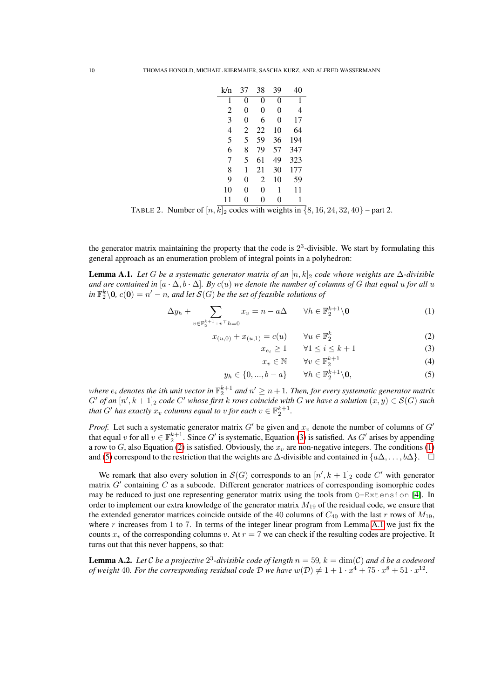| k/n | 37       | 38 | 39 | 40  |
|-----|----------|----|----|-----|
| 1   | 0        | 0  | 0  | 1   |
| 2   | 0        | 0  | 0  | 4   |
| 3   | $\theta$ | 6  | 0  | 17  |
| 4   | 2        | 22 | 10 | 64  |
| 5   | 5        | 59 | 36 | 194 |
| 6   | 8        | 79 | 57 | 347 |
| 7   | 5        | 61 | 49 | 323 |
| 8   | 1        | 21 | 30 | 177 |
| 9   | 0        | 2  | 10 | 59  |
| 10  | $\theta$ | 0  | 1  | 11  |
| 11  | 0        | 0  | 0  | 1   |

<span id="page-9-0"></span>TABLE 2. Number of  $[n, \overline{k}]_2$  codes with weights in  $\{8, 16, 24, 32, 40\}$  – part 2.

the generator matrix maintaining the property that the code is  $2<sup>3</sup>$ -divisible. We start by formulating this general approach as an enumeration problem of integral points in a polyhedron:

<span id="page-9-2"></span>Lemma A.1. *Let* G *be a systematic generator matrix of an* [n, k]<sup>2</sup> *code whose weights are* ∆*-divisible and are contained in*  $[a \cdot \Delta, b \cdot \Delta]$ *. By c(u) we denote the number of columns of G that equal u for all u*  $in \mathbb{F}_2^k \backslash 0$ ,  $c(0) = n' - n$ , and let  $\mathcal{S}(G)$  be the set of feasible solutions of

<span id="page-9-1"></span>
$$
\Delta y_h + \sum_{v \in \mathbb{F}_2^{k+1} : v^\top h = 0} x_v = n - a\Delta \qquad \forall h \in \mathbb{F}_2^{k+1} \setminus \mathbf{0} \tag{1}
$$

$$
x_{(u,0)} + x_{(u,1)} = c(u) \qquad \forall u \in \mathbb{F}_2^k \tag{2}
$$

$$
x_{e_i} \ge 1 \qquad \forall 1 \le i \le k+1 \tag{3}
$$

$$
x_v \in \mathbb{N} \qquad \forall v \in \mathbb{F}_2^{k+1} \tag{4}
$$

$$
y_h \in \{0, ..., b - a\} \qquad \forall h \in \mathbb{F}_2^{k+1} \backslash \mathbf{0},\tag{5}
$$

where  $e_i$  denotes the  $i$ th unit vector in  $\mathbb{F}_2^{k+1}$  and  $n' \geq n+1.$  Then, for every systematic generator matrix  $G'$  of an  $[n', k + 1]_2$  code  $C'$  whose first k rows coincide with G we have a solution  $(x, y) \in S(G)$  such *that*  $G'$  *has exactly*  $x_v$  *columns equal to*  $v$  *for each*  $v \in \mathbb{F}_2^{k+1}$ .

*Proof.* Let such a systematic generator matrix  $G'$  be given and  $x<sub>v</sub>$  denote the number of columns of  $G'$ that equal v for all  $v \in \mathbb{F}_2^{k+1}$ . Since G' is systematic, Equation [\(3\)](#page-9-1) is satisfied. As G' arises by appending a row to G, also Equation [\(2\)](#page-9-1) is satisfied. Obviously, the  $x<sub>v</sub>$  are non-negative integers. The conditions [\(1\)](#page-9-1) and [\(5\)](#page-9-1) correspond to the restriction that the weights are  $\Delta$ -divisible and contained in  $\{a\Delta,\ldots,b\Delta\}$ .  $\square$ 

We remark that also every solution in  $\mathcal{S}(G)$  corresponds to an  $[n', k+1]_2$  code C' with generator matrix  $G'$  containing  $C$  as a subcode. Different generator matrices of corresponding isomorphic codes may be reduced to just one representing generator matrix using the tools from Q-Extension [\[4\]](#page-7-12). In order to implement our extra knowledge of the generator matrix  $M_{19}$  of the residual code, we ensure that the extended generator matrices coincide outside of the 40 columns of  $C_{40}$  with the last r rows of  $M_{19}$ , where  $r$  increases from 1 to 7. In terms of the integer linear program from Lemma [A.1](#page-9-2) we just fix the counts  $x_v$  of the corresponding columns v. At  $r = 7$  we can check if the resulting codes are projective. It turns out that this never happens, so that:

**Lemma A.2.** Let C be a projective  $2^3$ -divisible code of length  $n = 59$ ,  $k = \dim(\mathcal{C})$  and d be a codeword *of weight* 40. For the corresponding residual code D we have  $w(D) \neq 1 + 1 \cdot x^4 + 75 \cdot x^8 + 51 \cdot x^{12}$ .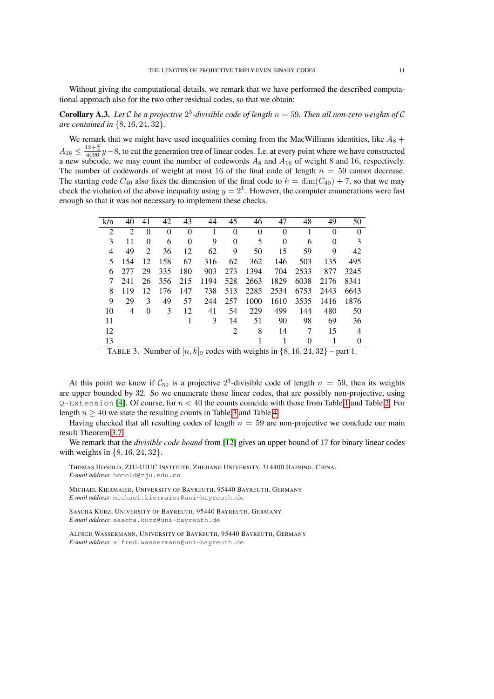Without giving the computational details, we remark that we have performed the described computational approach also for the two other residual codes, so that we obtain:

**Corollary A.3.** Let C be a projective  $2^3$ -divisible code of length  $n = 59$ . Then all non-zero weights of C *are contained in* {8, 16, 24, 32}*.*

We remark that we might have used inequalities coming from the MacWilliams identities, like  $A_8$  +  $A_{16} \leq \frac{42+\frac{2}{3}}{4096}y-8$ , to cut the generation tree of linear codes. I.e. at every point where we have constructed a new subcode, we may count the number of codewords  $A_8$  and  $A_{16}$  of weight 8 and 16, respectively. The number of codewords of weight at most 16 of the final code of length  $n = 59$  cannot decrease. The starting code  $C_{40}$  also fixes the dimension of the final code to  $k = \dim(C_{40}) + 7$ , so that we may check the violation of the above inequality using  $y = 2<sup>k</sup>$ . However, the computer enumerations were fast enough so that it was not necessary to implement these checks.

| k/n            | 40                          | 41       | 42       | 43       | 44   | 45       | 46       | 47       | 48   | 49       | 50             |
|----------------|-----------------------------|----------|----------|----------|------|----------|----------|----------|------|----------|----------------|
| 2              | $\mathcal{D}_{\mathcal{L}}$ | $\theta$ | $\Omega$ | $\theta$ |      | $\theta$ | $\Omega$ | $\theta$ |      | $\theta$ | $\Omega$       |
| 3              | 11                          | 0        | 6        | $\theta$ | 9    | $\theta$ | 5        | $\theta$ | 6    | 0        | 3              |
| $\overline{4}$ | 49                          | 2        | 36       | 12       | 62   | 9        | 50       | 15       | 59   | 9        | 42             |
| 5              | 154                         | 12       | 158      | 67       | 316  | 62       | 362      | 146      | 503  | 135      | 495            |
| 6              | 277                         | 29       | 335      | 180      | 903  | 273      | 1394     | 704      | 2533 | 877      | 3245           |
|                | 241                         | 26       | 356      | 215      | 1194 | 528      | 2663     | 1829     | 6038 | 2176     | 8341           |
| 8              | 119                         | 12       | 176      | 147      | 738  | 513      | 2285     | 2534     | 6753 | 2443     | 6643           |
| 9              | 29                          | 3        | 49       | 57       | 244  | 257      | 1000     | 1610     | 3535 | 1416     | 1876           |
| 10             | 4                           | $\Omega$ | 3        | 12       | 41   | 54       | 229      | 499      | 144  | 480      | 50             |
| 11             |                             |          |          |          | 3    | 14       | 51       | 90       | 98   | 69       | 36             |
| 12             |                             |          |          |          |      | 2        | 8        | 14       |      | 15       | $\overline{4}$ |
| 13             |                             |          |          |          |      |          |          |          |      | 1        | 0              |

<span id="page-10-0"></span>TABLE 3. Number of  $[n, k]_2$  codes with weights in  $\{8, 16, 24, 32\}$  – part 1.

At this point we know if  $C_{59}$  is a projective  $2^3$ -divisible code of length  $n = 59$ , then its weights are upper bounded by 32. So we enumerate those linear codes, that are possibly non-projective, using  $Q$ –Extension [\[4\]](#page-7-12). Of course, for  $n < 40$  the counts coincide with those from Table [1](#page-8-0) and Table [2.](#page-9-0) For length  $n \geq 40$  we state the resulting counts in Table [3](#page-10-0) and Table [4.](#page-11-0)

Having checked that all resulting codes of length  $n = 59$  are non-projective we conclude our main result Theorem [3.7.](#page-6-3)

We remark that the *divisible code bound* from [\[12\]](#page-7-13) gives an upper bound of 17 for binary linear codes with weights in {8, 16, 24, 32}.

THOMAS HONOLD, ZJU-UIUC INSTITUTE, ZHEJIANG UNIVERSITY, 314400 HAINING, CHINA. *E-mail address*: honold@zju.edu.cn

MICHAEL KIERMAIER, UNIVERSITY OF BAYREUTH, 95440 BAYREUTH, GERMANY *E-mail address*: michael.kiermaier@uni-bayreuth.de

SASCHA KURZ, UNIVERSITY OF BAYREUTH, 95440 BAYREUTH, GERMANY *E-mail address*: sascha.kurz@uni-bayreuth.de

ALFRED WASSERMANN, UNIVERSITY OF BAYREUTH, 95440 BAYREUTH, GERMANY *E-mail address*: alfred.wassermann@uni-bayreuth.de